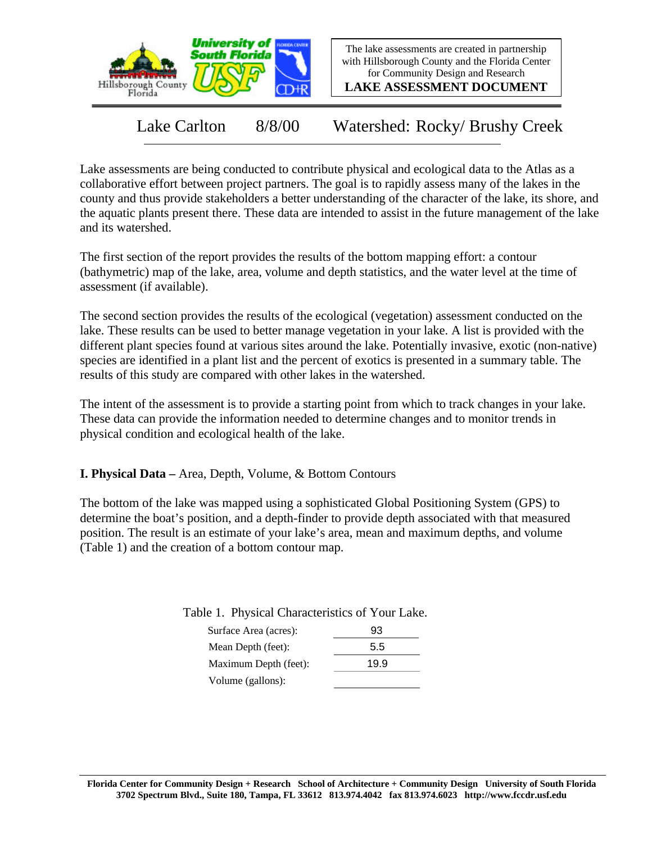

The lake assessments are created in partnership with Hillsborough County and the Florida Center for Community Design and Research

**LAKE ASSESSMENT DOCUMENT**

Lake Carlton 8/8/00 Watershed: Rocky/ Brushy Creek

Lake assessments are being conducted to contribute physical and ecological data to the Atlas as a collaborative effort between project partners. The goal is to rapidly assess many of the lakes in the county and thus provide stakeholders a better understanding of the character of the lake, its shore, and the aquatic plants present there. These data are intended to assist in the future management of the lake and its watershed.

The first section of the report provides the results of the bottom mapping effort: a contour (bathymetric) map of the lake, area, volume and depth statistics, and the water level at the time of assessment (if available).

The second section provides the results of the ecological (vegetation) assessment conducted on the lake. These results can be used to better manage vegetation in your lake. A list is provided with the different plant species found at various sites around the lake. Potentially invasive, exotic (non-native) species are identified in a plant list and the percent of exotics is presented in a summary table. The results of this study are compared with other lakes in the watershed.

The intent of the assessment is to provide a starting point from which to track changes in your lake. These data can provide the information needed to determine changes and to monitor trends in physical condition and ecological health of the lake.

**I. Physical Data –** Area, Depth, Volume, & Bottom Contours

The bottom of the lake was mapped using a sophisticated Global Positioning System (GPS) to determine the boat's position, and a depth-finder to provide depth associated with that measured position. The result is an estimate of your lake's area, mean and maximum depths, and volume (Table 1) and the creation of a bottom contour map.

Table 1. Physical Characteristics of Your Lake.

| Surface Area (acres): | 93   |
|-----------------------|------|
| Mean Depth (feet):    | 5.5  |
| Maximum Depth (feet): | 19.9 |
| Volume (gallons):     |      |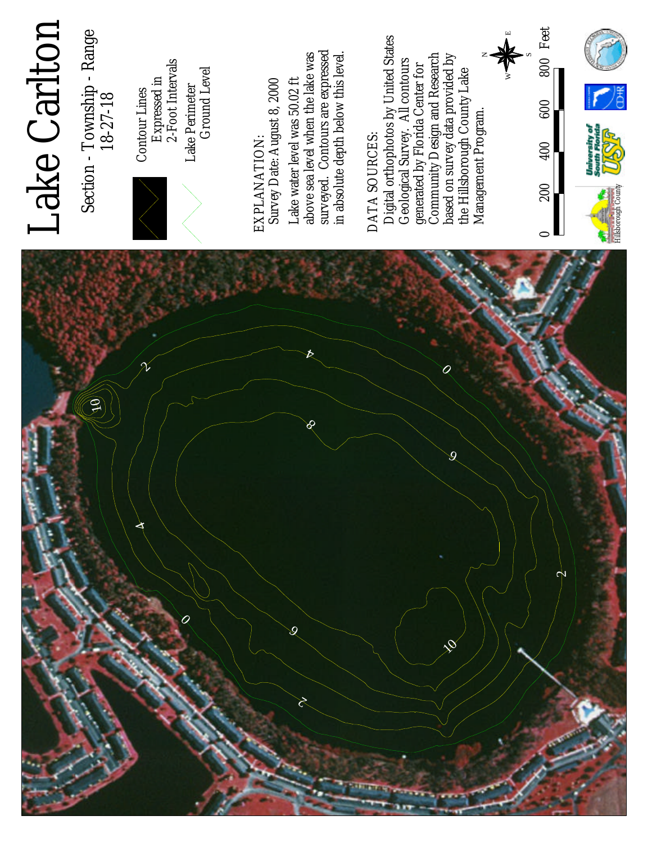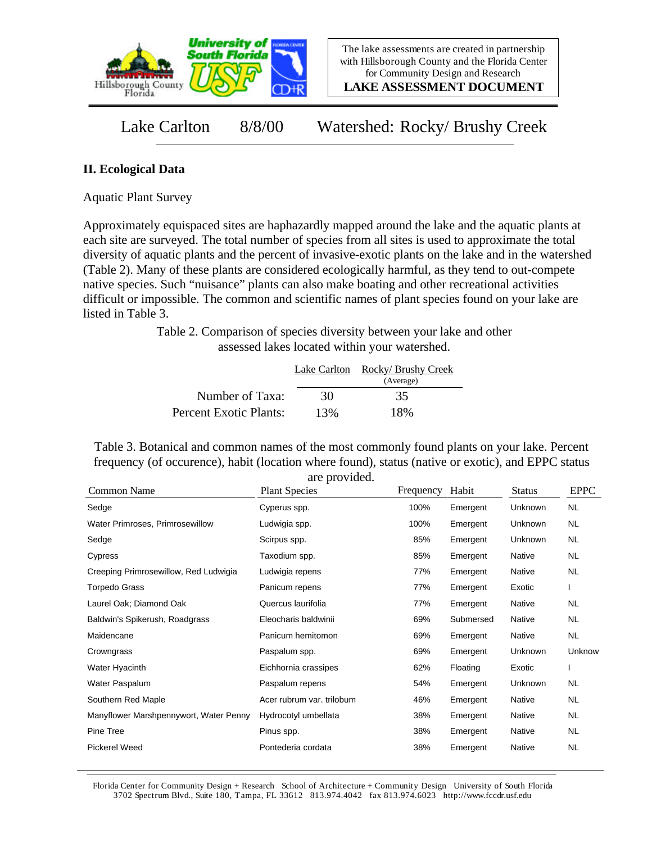

**LAKE ASSESSMENT DOCUMENT**

Lake Carlton 8/8/00 Watershed: Rocky/ Brushy Creek

## **II. Ecological Data**

Aquatic Plant Survey

Approximately equispaced sites are haphazardly mapped around the lake and the aquatic plants at each site are surveyed. The total number of species from all sites is used to approximate the total diversity of aquatic plants and the percent of invasive-exotic plants on the lake and in the watershed (Table 2). Many of these plants are considered ecologically harmful, as they tend to out-compete native species. Such "nuisance" plants can also make boating and other recreational activities difficult or impossible. The common and scientific names of plant species found on your lake are listed in Table 3.

> Table 2. Comparison of species diversity between your lake and other assessed lakes located within your watershed.

|                        |     | Lake Carlton Rocky/ Brushy Creek<br>(Average) |
|------------------------|-----|-----------------------------------------------|
| Number of Taxa:        | 30  | 35                                            |
| Percent Exotic Plants: | 13% | 18%                                           |

Table 3. Botanical and common names of the most commonly found plants on your lake. Percent frequency (of occurence), habit (location where found), status (native or exotic), and EPPC status are provided.

| Common Name                            | <b>Plant Species</b>      | Frequency | Habit     | <b>Status</b> | <b>EPPC</b> |
|----------------------------------------|---------------------------|-----------|-----------|---------------|-------------|
| Sedge                                  | Cyperus spp.              | 100%      | Emergent  | Unknown       | <b>NL</b>   |
| Water Primroses, Primrosewillow        | Ludwigia spp.             | 100%      | Emergent  | Unknown       | NL.         |
| Sedge                                  | Scirpus spp.              | 85%       | Emergent  | Unknown       | NL.         |
| Cypress                                | Taxodium spp.             | 85%       | Emergent  | Native        | NL.         |
| Creeping Primrosewillow, Red Ludwigia  | Ludwigia repens           | 77%       | Emergent  | Native        | NL.         |
| <b>Torpedo Grass</b>                   | Panicum repens            | 77%       | Emergent  | Exotic        |             |
| Laurel Oak; Diamond Oak                | Quercus laurifolia        | 77%       | Emergent  | <b>Native</b> | <b>NL</b>   |
| Baldwin's Spikerush, Roadgrass         | Eleocharis baldwinii      | 69%       | Submersed | <b>Native</b> | NL.         |
| Maidencane                             | Panicum hemitomon         | 69%       | Emergent  | Native        | NL          |
| Crowngrass                             | Paspalum spp.             | 69%       | Emergent  | Unknown       | Unknow      |
| Water Hyacinth                         | Eichhornia crassipes      | 62%       | Floating  | Exotic        |             |
| Water Paspalum                         | Paspalum repens           | 54%       | Emergent  | Unknown       | NL.         |
| Southern Red Maple                     | Acer rubrum var. trilobum | 46%       | Emergent  | Native        | <b>NL</b>   |
| Manyflower Marshpennywort, Water Penny | Hydrocotyl umbellata      | 38%       | Emergent  | Native        | NL.         |
| Pine Tree                              | Pinus spp.                | 38%       | Emergent  | Native        | NL.         |
| <b>Pickerel Weed</b>                   | Pontederia cordata        | 38%       | Emergent  | Native        | <b>NL</b>   |

Florida Center for Community Design + Research School of Architecture + Community Design University of South Florida 3702 Spectrum Blvd., Suite 180, Tampa, FL 33612 813.974.4042 fax 813.974.6023 http://www.fccdr.usf.edu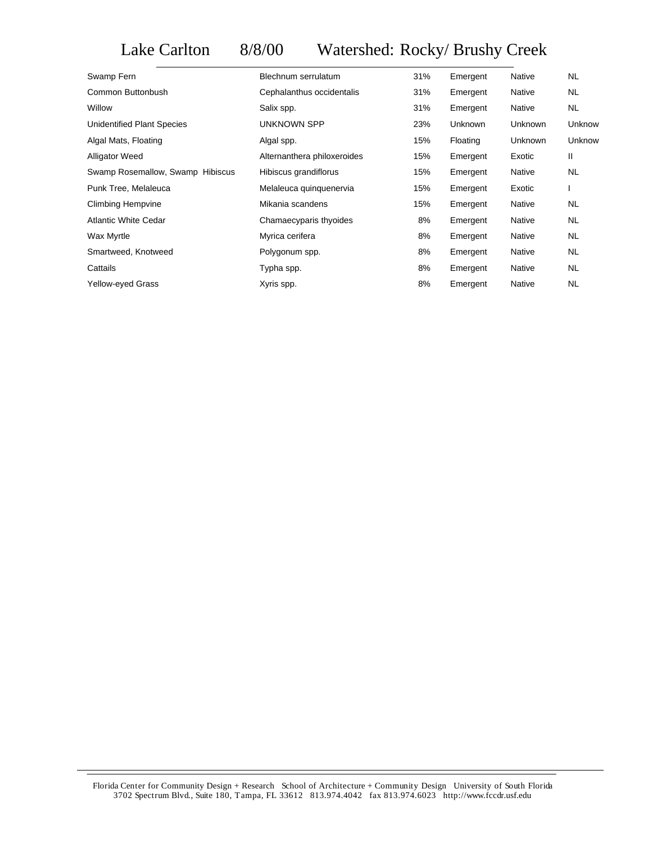## Lake Carlton 8/8/00 Watershed: Rocky/ Brushy Creek

| Swamp Fern                       | Blechnum serrulatum         | 31% | Emergent | Native  | <b>NL</b> |
|----------------------------------|-----------------------------|-----|----------|---------|-----------|
| Common Buttonbush                | Cephalanthus occidentalis   | 31% | Emergent | Native  | NL        |
| Willow                           | Salix spp.                  | 31% | Emergent | Native  | NL        |
| Unidentified Plant Species       | UNKNOWN SPP                 | 23% | Unknown  | Unknown | Unknow    |
| Algal Mats, Floating             | Algal spp.                  | 15% | Floating | Unknown | Unknow    |
| <b>Alligator Weed</b>            | Alternanthera philoxeroides | 15% | Emergent | Exotic  | Ш         |
| Swamp Rosemallow, Swamp Hibiscus | Hibiscus grandiflorus       | 15% | Emergent | Native  | <b>NL</b> |
| Punk Tree, Melaleuca             | Melaleuca quinquenervia     | 15% | Emergent | Exotic  |           |
| Climbing Hempvine                | Mikania scandens            | 15% | Emergent | Native  | <b>NL</b> |
| <b>Atlantic White Cedar</b>      | Chamaecyparis thyoides      | 8%  | Emergent | Native  | <b>NL</b> |
| Wax Myrtle                       | Myrica cerifera             | 8%  | Emergent | Native  | NL.       |
| Smartweed, Knotweed              | Polygonum spp.              | 8%  | Emergent | Native  | NL.       |
| Cattails                         | Typha spp.                  | 8%  | Emergent | Native  | <b>NL</b> |
| <b>Yellow-eyed Grass</b>         | Xyris spp.                  | 8%  | Emergent | Native  | <b>NL</b> |

Florida Center for Community Design + Research School of Architecture + Community Design University of South Florida 3702 Spectrum Blvd., Suite 180, Tampa, FL 33612 813.974.4042 fax 813.974.6023 http://www.fccdr.usf.edu